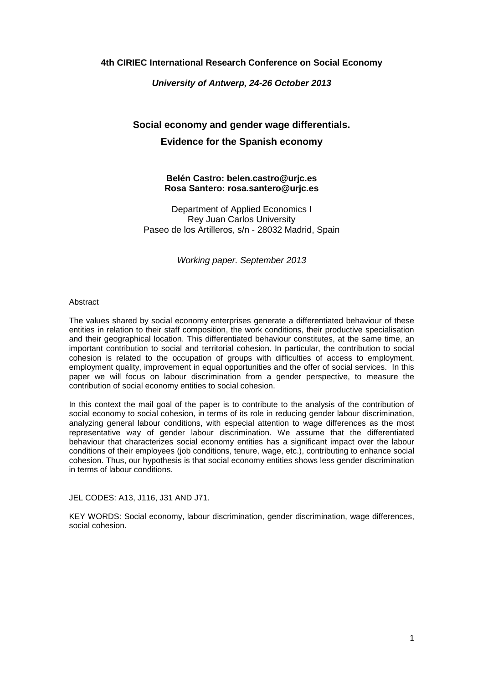## **4th CIRIEC International Research Conference on Social Economy**

## **University of Antwerp, 24-26 October 2013**

# **Social economy and gender wage differentials. Evidence for the Spanish economy**

## **Belén Castro: belen.castro@urjc.es Rosa Santero: rosa.santero@urjc.es**

Department of Applied Economics I Rey Juan Carlos University Paseo de los Artilleros, s/n - 28032 Madrid, Spain

Working paper. September 2013

#### **Abstract**

The values shared by social economy enterprises generate a differentiated behaviour of these entities in relation to their staff composition, the work conditions, their productive specialisation and their geographical location. This differentiated behaviour constitutes, at the same time, an important contribution to social and territorial cohesion. In particular, the contribution to social cohesion is related to the occupation of groups with difficulties of access to employment, employment quality, improvement in equal opportunities and the offer of social services. In this paper we will focus on labour discrimination from a gender perspective, to measure the contribution of social economy entities to social cohesion.

In this context the mail goal of the paper is to contribute to the analysis of the contribution of social economy to social cohesion, in terms of its role in reducing gender labour discrimination, analyzing general labour conditions, with especial attention to wage differences as the most representative way of gender labour discrimination. We assume that the differentiated behaviour that characterizes social economy entities has a significant impact over the labour conditions of their employees (job conditions, tenure, wage, etc.), contributing to enhance social cohesion. Thus, our hypothesis is that social economy entities shows less gender discrimination in terms of labour conditions.

JEL CODES: A13, J116, J31 AND J71.

KEY WORDS: Social economy, labour discrimination, gender discrimination, wage differences, social cohesion.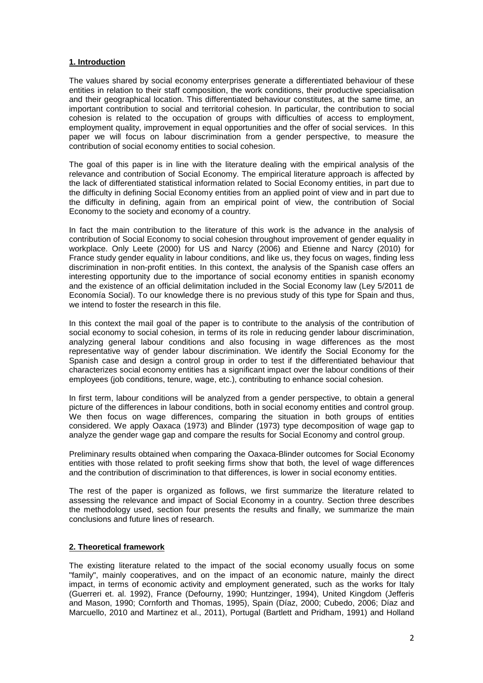## **1. Introduction**

The values shared by social economy enterprises generate a differentiated behaviour of these entities in relation to their staff composition, the work conditions, their productive specialisation and their geographical location. This differentiated behaviour constitutes, at the same time, an important contribution to social and territorial cohesion. In particular, the contribution to social cohesion is related to the occupation of groups with difficulties of access to employment, employment quality, improvement in equal opportunities and the offer of social services. In this paper we will focus on labour discrimination from a gender perspective, to measure the contribution of social economy entities to social cohesion.

The goal of this paper is in line with the literature dealing with the empirical analysis of the relevance and contribution of Social Economy. The empirical literature approach is affected by the lack of differentiated statistical information related to Social Economy entities, in part due to the difficulty in defining Social Economy entities from an applied point of view and in part due to the difficulty in defining, again from an empirical point of view, the contribution of Social Economy to the society and economy of a country.

In fact the main contribution to the literature of this work is the advance in the analysis of contribution of Social Economy to social cohesion throughout improvement of gender equality in workplace. Only Leete (2000) for US and Narcy (2006) and Etienne and Narcy (2010) for France study gender equality in labour conditions, and like us, they focus on wages, finding less discrimination in non-profit entities. In this context, the analysis of the Spanish case offers an interesting opportunity due to the importance of social economy entities in spanish economy and the existence of an official delimitation included in the Social Economy law (Ley 5/2011 de Economía Social). To our knowledge there is no previous study of this type for Spain and thus, we intend to foster the research in this file.

In this context the mail goal of the paper is to contribute to the analysis of the contribution of social economy to social cohesion, in terms of its role in reducing gender labour discrimination, analyzing general labour conditions and also focusing in wage differences as the most representative way of gender labour discrimination. We identify the Social Economy for the Spanish case and design a control group in order to test if the differentiated behaviour that characterizes social economy entities has a significant impact over the labour conditions of their employees (job conditions, tenure, wage, etc.), contributing to enhance social cohesion.

In first term, labour conditions will be analyzed from a gender perspective, to obtain a general picture of the differences in labour conditions, both in social economy entities and control group. We then focus on wage differences, comparing the situation in both groups of entities considered. We apply Oaxaca (1973) and Blinder (1973) type decomposition of wage gap to analyze the gender wage gap and compare the results for Social Economy and control group.

Preliminary results obtained when comparing the Oaxaca-Blinder outcomes for Social Economy entities with those related to profit seeking firms show that both, the level of wage differences and the contribution of discrimination to that differences, is lower in social economy entities.

The rest of the paper is organized as follows, we first summarize the literature related to assessing the relevance and impact of Social Economy in a country. Section three describes the methodology used, section four presents the results and finally, we summarize the main conclusions and future lines of research.

## **2. Theoretical framework**

The existing literature related to the impact of the social economy usually focus on some "family", mainly cooperatives, and on the impact of an economic nature, mainly the direct impact, in terms of economic activity and employment generated, such as the works for Italy (Guerreri et. al. 1992), France (Defourny, 1990; Huntzinger, 1994), United Kingdom (Jefferis and Mason, 1990; Cornforth and Thomas, 1995), Spain (Díaz, 2000; Cubedo, 2006; Díaz and Marcuello, 2010 and Martinez et al., 2011), Portugal (Bartlett and Pridham, 1991) and Holland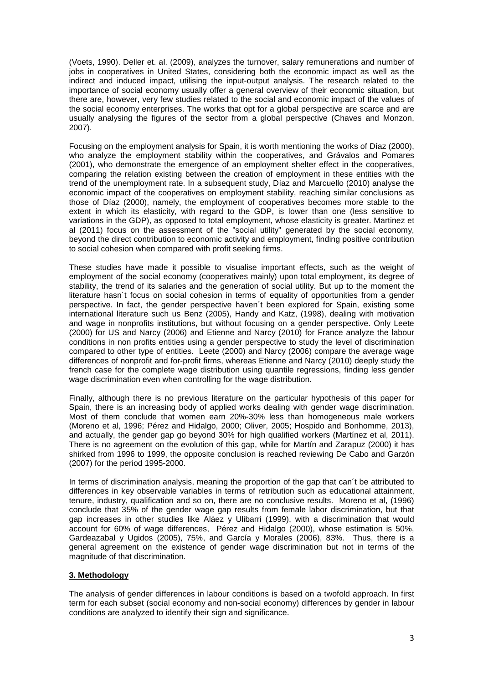(Voets, 1990). Deller et. al. (2009), analyzes the turnover, salary remunerations and number of jobs in cooperatives in United States, considering both the economic impact as well as the indirect and induced impact, utilising the input-output analysis. The research related to the importance of social economy usually offer a general overview of their economic situation, but there are, however, very few studies related to the social and economic impact of the values of the social economy enterprises. The works that opt for a global perspective are scarce and are usually analysing the figures of the sector from a global perspective (Chaves and Monzon, 2007).

Focusing on the employment analysis for Spain, it is worth mentioning the works of Díaz (2000), who analyze the employment stability within the cooperatives, and Grávalos and Pomares (2001), who demonstrate the emergence of an employment shelter effect in the cooperatives, comparing the relation existing between the creation of employment in these entities with the trend of the unemployment rate. In a subsequent study, Díaz and Marcuello (2010) analyse the economic impact of the cooperatives on employment stability, reaching similar conclusions as those of Díaz (2000), namely, the employment of cooperatives becomes more stable to the extent in which its elasticity, with regard to the GDP, is lower than one (less sensitive to variations in the GDP), as opposed to total employment, whose elasticity is greater. Martinez et al (2011) focus on the assessment of the "social utility" generated by the social economy, beyond the direct contribution to economic activity and employment, finding positive contribution to social cohesion when compared with profit seeking firms.

These studies have made it possible to visualise important effects, such as the weight of employment of the social economy (cooperatives mainly) upon total employment, its degree of stability, the trend of its salaries and the generation of social utility. But up to the moment the literature hasn´t focus on social cohesion in terms of equality of opportunities from a gender perspective. In fact, the gender perspective haven´t been explored for Spain, existing some international literature such us Benz (2005), Handy and Katz, (1998), dealing with motivation and wage in nonprofits institutions, but without focusing on a gender perspective. Only Leete (2000) for US and Narcy (2006) and Etienne and Narcy (2010) for France analyze the labour conditions in non profits entities using a gender perspective to study the level of discrimination compared to other type of entities. Leete (2000) and Narcy (2006) compare the average wage differences of nonprofit and for-profit firms, whereas Etienne and Narcy (2010) deeply study the french case for the complete wage distribution using quantile regressions, finding less gender wage discrimination even when controlling for the wage distribution.

Finally, although there is no previous literature on the particular hypothesis of this paper for Spain, there is an increasing body of applied works dealing with gender wage discrimination. Most of them conclude that women earn 20%-30% less than homogeneous male workers (Moreno et al, 1996; Pérez and Hidalgo, 2000; Oliver, 2005; Hospido and Bonhomme, 2013), and actually, the gender gap go beyond 30% for high qualified workers (Martínez et al, 2011). There is no agreement on the evolution of this gap, while for Martín and Zarapuz (2000) it has shirked from 1996 to 1999, the opposite conclusion is reached reviewing De Cabo and Garzón (2007) for the period 1995-2000.

In terms of discrimination analysis, meaning the proportion of the gap that can't be attributed to differences in key observable variables in terms of retribution such as educational attainment, tenure, industry, qualification and so on, there are no conclusive results. Moreno et al, (1996) conclude that 35% of the gender wage gap results from female labor discrimination, but that gap increases in other studies like Aláez y Ulibarri (1999), with a discrimination that would account for 60% of wage differences, Pérez and Hidalgo (2000), whose estimation is 50%, Gardeazabal y Ugidos (2005), 75%, and García y Morales (2006), 83%. Thus, there is a general agreement on the existence of gender wage discrimination but not in terms of the magnitude of that discrimination.

## **3. Methodology**

The analysis of gender differences in labour conditions is based on a twofold approach. In first term for each subset (social economy and non-social economy) differences by gender in labour conditions are analyzed to identify their sign and significance.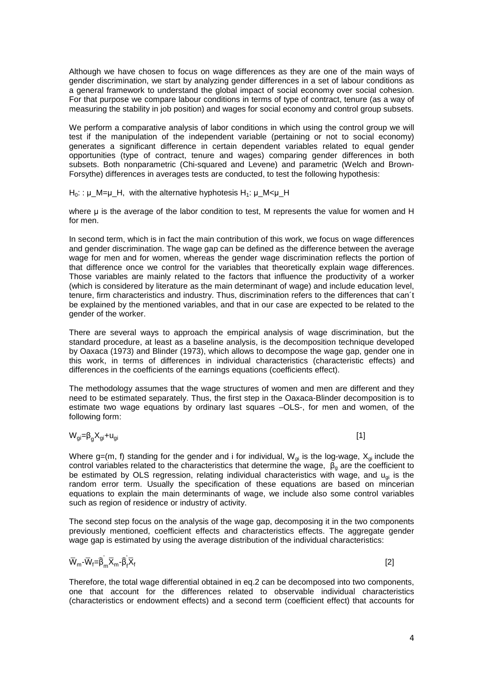Although we have chosen to focus on wage differences as they are one of the main ways of gender discrimination, we start by analyzing gender differences in a set of labour conditions as a general framework to understand the global impact of social economy over social cohesion. For that purpose we compare labour conditions in terms of type of contract, tenure (as a way of measuring the stability in job position) and wages for social economy and control group subsets.

We perform a comparative analysis of labor conditions in which using the control group we will test if the manipulation of the independent variable (pertaining or not to social economy) generates a significant difference in certain dependent variables related to equal gender opportunities (type of contract, tenure and wages) comparing gender differences in both subsets. Both nonparametric (Chi-squared and Levene) and parametric (Welch and Brown-Forsythe) differences in averages tests are conducted, to test the following hypothesis:

 $H_0$ : :  $\mu$  M= $\mu$  H, with the alternative hyphotesis H<sub>1</sub>:  $\mu$  M< $\mu$  H

where u is the average of the labor condition to test. M represents the value for women and H for men.

In second term, which is in fact the main contribution of this work, we focus on wage differences and gender discrimination. The wage gap can be defined as the difference between the average wage for men and for women, whereas the gender wage discrimination reflects the portion of that difference once we control for the variables that theoretically explain wage differences. Those variables are mainly related to the factors that influence the productivity of a worker (which is considered by literature as the main determinant of wage) and include education level, tenure, firm characteristics and industry. Thus, discrimination refers to the differences that can´t be explained by the mentioned variables, and that in our case are expected to be related to the gender of the worker.

There are several ways to approach the empirical analysis of wage discrimination, but the standard procedure, at least as a baseline analysis, is the decomposition technique developed by Oaxaca (1973) and Blinder (1973), which allows to decompose the wage gap, gender one in this work, in terms of differences in individual characteristics (characteristic effects) and differences in the coefficients of the earnings equations (coefficients effect).

The methodology assumes that the wage structures of women and men are different and they need to be estimated separately. Thus, the first step in the Oaxaca-Blinder decomposition is to estimate two wage equations by ordinary last squares –OLS-, for men and women, of the following form:

 $W_{qi} = \beta_{q} X_{qi} + U_{qi}$  $X_{gi} + u_{gi}$  [1]

Where g=(m, f) standing for the gender and i for individual,  $W_{qi}$  is the log-wage,  $X_{qi}$  include the control variables related to the characteristics that determine the wage,  $\beta_0$  are the coefficient to be estimated by OLS regression, relating individual characteristics with wage, and  $u_{\alpha i}$  is the random error term. Usually the specification of these equations are based on mincerian equations to explain the main determinants of wage, we include also some control variables such as region of residence or industry of activity.

The second step focus on the analysis of the wage gap, decomposing it in the two components previously mentioned, coefficient effects and characteristics effects. The aggregate gender wage gap is estimated by using the average distribution of the individual characteristics:

$$
\overline{W}_{m} - \overline{W}_{f} = \widehat{\beta}_{m} \overline{X}_{m} - \widehat{\beta}_{f} \overline{X}_{f}
$$
\n
$$
\tag{2}
$$

Therefore, the total wage differential obtained in eq.2 can be decomposed into two components, one that account for the differences related to observable individual characteristics (characteristics or endowment effects) and a second term (coefficient effect) that accounts for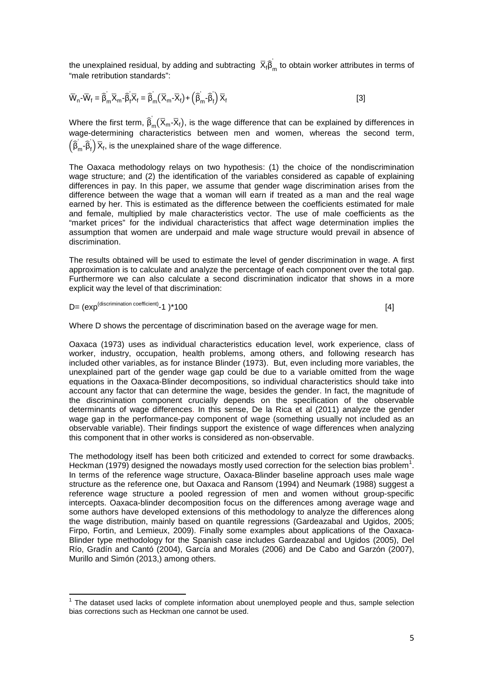the unexplained residual, by adding and subtracting  $\ \overline{\mathsf{X}}_{\mathsf{f}} \mathsf{\widehat{B}}_{\mathsf{m}}$ ' to obtain worker attributes in terms of "male retribution standards":

$$
\overline{W}_{n} - \overline{W}_{f} = \widehat{\beta}_{m} \overline{X}_{m} - \widehat{\beta}_{f} \overline{X}_{f} = \widehat{\beta}_{m} \left( \overline{X}_{m} - \overline{X}_{f} \right) + \left( \widehat{\beta}_{m} - \widehat{\beta}_{f} \right) \overline{X}_{f}
$$
\n[3]

Where the first term,  $\widehat{\beta}_\mathsf{m}$  $\bar{X}_m(\bar{X}_m\text{-}\bar{X}_f)$ , is the wage difference that can be explained by differences in wage-determining characteristics between men and women, whereas the second term,  $\left(\widehat{\beta}_{\mathsf{m}}\text{-}\widehat{\beta}_{\mathsf{f}}\right)\overline{\mathsf{X}}_{\mathsf{f}},$  is the unexplained share of the wage difference.

The Oaxaca methodology relays on two hypothesis: (1) the choice of the nondiscrimination wage structure; and (2) the identification of the variables considered as capable of explaining differences in pay. In this paper, we assume that gender wage discrimination arises from the difference between the wage that a woman will earn if treated as a man and the real wage earned by her. This is estimated as the difference between the coefficients estimated for male and female, multiplied by male characteristics vector. The use of male coefficients as the "market prices" for the individual characteristics that affect wage determination implies the assumption that women are underpaid and male wage structure would prevail in absence of discrimination.

The results obtained will be used to estimate the level of gender discrimination in wage. A first approximation is to calculate and analyze the percentage of each component over the total gap. Furthermore we can also calculate a second discrimination indicator that shows in a more explicit way the level of that discrimination:

$$
D = (exp(discription coefficient) - 1)^*100
$$
 [4]

 $\overline{a}$ 

Where D shows the percentage of discrimination based on the average wage for men.

Oaxaca (1973) uses as individual characteristics education level, work experience, class of worker, industry, occupation, health problems, among others, and following research has included other variables, as for instance Blinder (1973). But, even including more variables, the unexplained part of the gender wage gap could be due to a variable omitted from the wage equations in the Oaxaca-Blinder decompositions, so individual characteristics should take into account any factor that can determine the wage, besides the gender. In fact, the magnitude of the discrimination component crucially depends on the specification of the observable determinants of wage differences. In this sense, De la Rica et al (2011) analyze the gender wage gap in the performance-pay component of wage (something usually not included as an observable variable). Their findings support the existence of wage differences when analyzing this component that in other works is considered as non-observable.

The methodology itself has been both criticized and extended to correct for some drawbacks. Heckman (1979) designed the nowadays mostly used correction for the selection bias problem<sup>1</sup>. In terms of the reference wage structure, Oaxaca-Blinder baseline approach uses male wage structure as the reference one, but Oaxaca and Ransom (1994) and Neumark (1988) suggest a reference wage structure a pooled regression of men and women without group-specific intercepts. Oaxaca-blinder decomposition focus on the differences among average wage and some authors have developed extensions of this methodology to analyze the differences along the wage distribution, mainly based on quantile regressions (Gardeazabal and Ugidos, 2005; Firpo, Fortin, and Lemieux, 2009). Finally some examples about applications of the Oaxaca-Blinder type methodology for the Spanish case includes Gardeazabal and Ugidos (2005), Del Río, Gradín and Cantó (2004), García and Morales (2006) and De Cabo and Garzón (2007), Murillo and Simón (2013,) among others.

 $1$  The dataset used lacks of complete information about unemployed people and thus, sample selection bias corrections such as Heckman one cannot be used.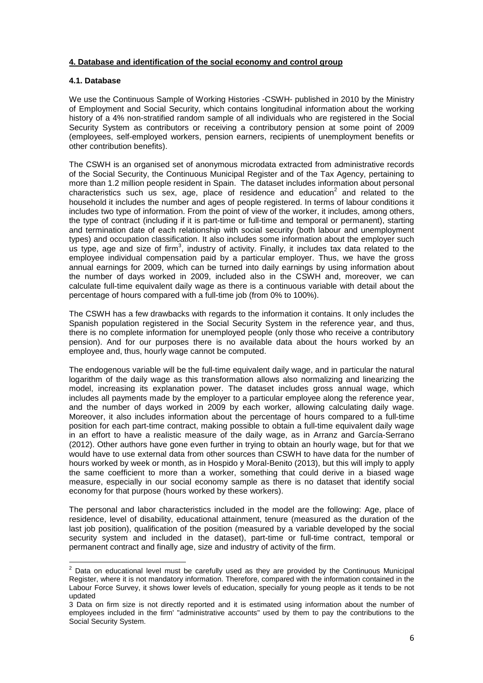## **4. Database and identification of the social economy and control group**

## **4.1. Database**

 $\overline{a}$ 

We use the Continuous Sample of Working Histories -CSWH- published in 2010 by the Ministry of Employment and Social Security, which contains longitudinal information about the working history of a 4% non-stratified random sample of all individuals who are registered in the Social Security System as contributors or receiving a contributory pension at some point of 2009 (employees, self-employed workers, pension earners, recipients of unemployment benefits or other contribution benefits).

The CSWH is an organised set of anonymous microdata extracted from administrative records of the Social Security, the Continuous Municipal Register and of the Tax Agency, pertaining to more than 1.2 million people resident in Spain. The dataset includes information about personal characteristics such us sex, age, place of residence and education<sup>2</sup> and related to the household it includes the number and ages of people registered. In terms of labour conditions it includes two type of information. From the point of view of the worker, it includes, among others, the type of contract (including if it is part-time or full-time and temporal or permanent), starting and termination date of each relationship with social security (both labour and unemployment types) and occupation classification. It also includes some information about the employer such us type, age and size of firm<sup>3</sup>, industry of activity. Finally, it includes tax data related to the employee individual compensation paid by a particular employer. Thus, we have the gross annual earnings for 2009, which can be turned into daily earnings by using information about the number of days worked in 2009, included also in the CSWH and, moreover, we can calculate full-time equivalent daily wage as there is a continuous variable with detail about the percentage of hours compared with a full-time job (from 0% to 100%).

The CSWH has a few drawbacks with regards to the information it contains. It only includes the Spanish population registered in the Social Security System in the reference year, and thus, there is no complete information for unemployed people (only those who receive a contributory pension). And for our purposes there is no available data about the hours worked by an employee and, thus, hourly wage cannot be computed.

The endogenous variable will be the full-time equivalent daily wage, and in particular the natural logarithm of the daily wage as this transformation allows also normalizing and linearizing the model, increasing its explanation power. The dataset includes gross annual wage, which includes all payments made by the employer to a particular employee along the reference year, and the number of days worked in 2009 by each worker, allowing calculating daily wage. Moreover, it also includes information about the percentage of hours compared to a full-time position for each part-time contract, making possible to obtain a full-time equivalent daily wage in an effort to have a realistic measure of the daily wage, as in Arranz and García-Serrano (2012). Other authors have gone even further in trying to obtain an hourly wage, but for that we would have to use external data from other sources than CSWH to have data for the number of hours worked by week or month, as in Hospido y Moral-Benito (2013), but this will imply to apply the same coefficient to more than a worker, something that could derive in a biased wage measure, especially in our social economy sample as there is no dataset that identify social economy for that purpose (hours worked by these workers).

The personal and labor characteristics included in the model are the following: Age, place of residence, level of disability, educational attainment, tenure (measured as the duration of the last job position), qualification of the position (measured by a variable developed by the social security system and included in the dataset), part-time or full-time contract, temporal or permanent contract and finally age, size and industry of activity of the firm.

 $2$  Data on educational level must be carefully used as they are provided by the Continuous Municipal Register, where it is not mandatory information. Therefore, compared with the information contained in the Labour Force Survey, it shows lower levels of education, specially for young people as it tends to be not updated

<sup>3</sup> Data on firm size is not directly reported and it is estimated using information about the number of employees included in the firm' "administrative accounts" used by them to pay the contributions to the Social Security System.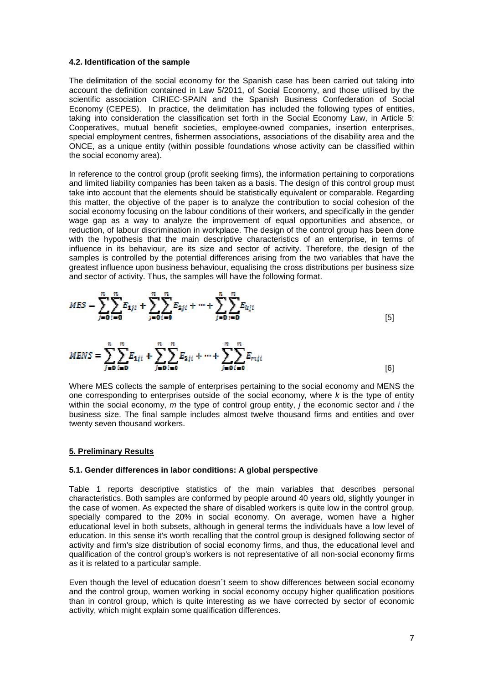#### **4.2. Identification of the sample**

The delimitation of the social economy for the Spanish case has been carried out taking into account the definition contained in Law 5/2011, of Social Economy, and those utilised by the scientific association CIRIEC-SPAIN and the Spanish Business Confederation of Social Economy (CEPES). In practice, the delimitation has included the following types of entities, taking into consideration the classification set forth in the Social Economy Law, in Article 5: Cooperatives, mutual benefit societies, employee-owned companies, insertion enterprises, special employment centres, fishermen associations, associations of the disability area and the ONCE, as a unique entity (within possible foundations whose activity can be classified within the social economy area).

In reference to the control group (profit seeking firms), the information pertaining to corporations and limited liability companies has been taken as a basis. The design of this control group must take into account that the elements should be statistically equivalent or comparable. Regarding this matter, the objective of the paper is to analyze the contribution to social cohesion of the social economy focusing on the labour conditions of their workers, and specifically in the gender wage gap as a way to analyze the improvement of equal opportunities and absence, or reduction, of labour discrimination in workplace. The design of the control group has been done with the hypothesis that the main descriptive characteristics of an enterprise, in terms of influence in its behaviour, are its size and sector of activity. Therefore, the design of the samples is controlled by the potential differences arising from the two variables that have the greatest influence upon business behaviour, equalising the cross distributions per business size and sector of activity. Thus, the samples will have the following format.



Where MES collects the sample of enterprises pertaining to the social economy and MENS the one corresponding to enterprises outside of the social economy, where  $k$  is the type of entity within the social economy, m the type of control group entity,  $\hat{i}$  the economic sector and  $\hat{i}$  the business size. The final sample includes almost twelve thousand firms and entities and over twenty seven thousand workers.

#### **5. Preliminary Results**

#### **5.1. Gender differences in labor conditions: A global perspective**

Table 1 reports descriptive statistics of the main variables that describes personal characteristics. Both samples are conformed by people around 40 years old, slightly younger in the case of women. As expected the share of disabled workers is quite low in the control group, specially compared to the 20% in social economy. On average, women have a higher educational level in both subsets, although in general terms the individuals have a low level of education. In this sense it's worth recalling that the control group is designed following sector of activity and firm's size distribution of social economy firms, and thus, the educational level and qualification of the control group's workers is not representative of all non-social economy firms as it is related to a particular sample.

Even though the level of education doesn´t seem to show differences between social economy and the control group, women working in social economy occupy higher qualification positions than in control group, which is quite interesting as we have corrected by sector of economic activity, which might explain some qualification differences.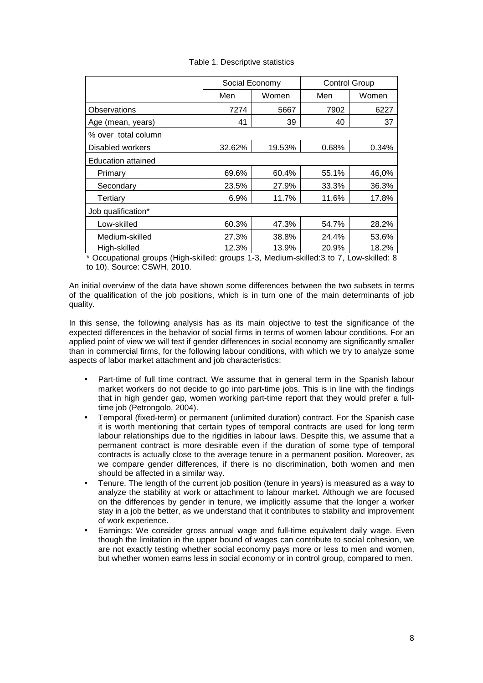| Social Economy            |        | <b>Control Group</b> |       |  |  |  |
|---------------------------|--------|----------------------|-------|--|--|--|
| Men                       | Women  | Men                  | Women |  |  |  |
| 7274                      | 5667   | 7902                 | 6227  |  |  |  |
| 41                        | 39     | 40                   | 37    |  |  |  |
|                           |        |                      |       |  |  |  |
| 32.62%                    | 19.53% | 0.68%                | 0.34% |  |  |  |
| <b>Education attained</b> |        |                      |       |  |  |  |
| 69.6%                     | 60.4%  | 55.1%                | 46,0% |  |  |  |
| 23.5%                     | 27.9%  | 33.3%                | 36.3% |  |  |  |
| 6.9%                      | 11.7%  | 11.6%                | 17.8% |  |  |  |
| Job qualification*        |        |                      |       |  |  |  |
| 60.3%                     | 47.3%  | 54.7%                | 28.2% |  |  |  |
| 27.3%                     | 38.8%  | 24.4%                | 53.6% |  |  |  |
| 12.3%                     | 13.9%  | 20.9%                | 18.2% |  |  |  |
|                           | .      |                      | .     |  |  |  |

Table 1. Descriptive statistics

\* Occupational groups (High-skilled: groups 1-3, Medium-skilled:3 to 7, Low-skilled: 8 to 10). Source: CSWH, 2010.

An initial overview of the data have shown some differences between the two subsets in terms of the qualification of the job positions, which is in turn one of the main determinants of job quality.

In this sense, the following analysis has as its main objective to test the significance of the expected differences in the behavior of social firms in terms of women labour conditions. For an applied point of view we will test if gender differences in social economy are significantly smaller than in commercial firms, for the following labour conditions, with which we try to analyze some aspects of labor market attachment and job characteristics:

- Part-time of full time contract. We assume that in general term in the Spanish labour market workers do not decide to go into part-time jobs. This is in line with the findings that in high gender gap, women working part-time report that they would prefer a fulltime job (Petrongolo, 2004).
- Temporal (fixed-term) or permanent (unlimited duration) contract. For the Spanish case it is worth mentioning that certain types of temporal contracts are used for long term labour relationships due to the rigidities in labour laws. Despite this, we assume that a permanent contract is more desirable even if the duration of some type of temporal contracts is actually close to the average tenure in a permanent position. Moreover, as we compare gender differences, if there is no discrimination, both women and men should be affected in a similar way.
- Tenure. The length of the current job position (tenure in years) is measured as a way to analyze the stability at work or attachment to labour market. Although we are focused on the differences by gender in tenure, we implicitly assume that the longer a worker stay in a job the better, as we understand that it contributes to stability and improvement of work experience.
- Earnings: We consider gross annual wage and full-time equivalent daily wage. Even though the limitation in the upper bound of wages can contribute to social cohesion, we are not exactly testing whether social economy pays more or less to men and women, but whether women earns less in social economy or in control group, compared to men.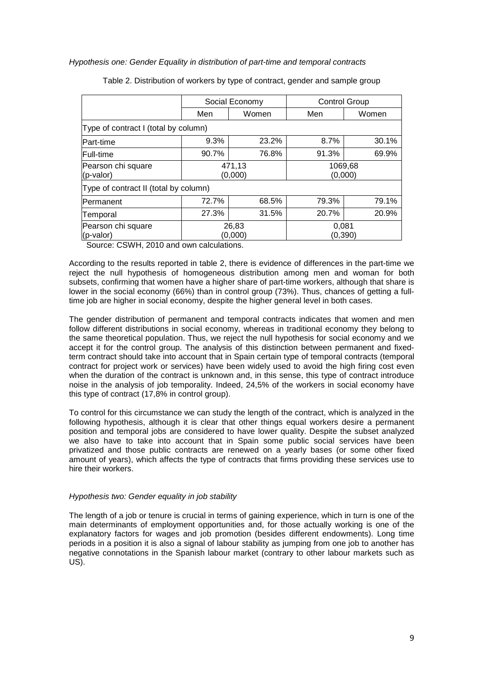Hypothesis one: Gender Equality in distribution of part-time and temporal contracts

|                                      | Social Economy                        |       |                    | <b>Control Group</b> |  |  |  |
|--------------------------------------|---------------------------------------|-------|--------------------|----------------------|--|--|--|
|                                      | Men                                   | Women |                    | Women                |  |  |  |
| Type of contract I (total by column) |                                       |       |                    |                      |  |  |  |
| Part-time                            | 9.3%                                  | 23.2% | 8.7%               | 30.1%                |  |  |  |
| <b>Full-time</b>                     | 90.7%                                 | 76.8% | 91.3%              | 69.9%                |  |  |  |
| Pearson chi square<br>(p-valor)      | 471,13<br>(0,000)                     |       | 1069,68<br>(0,000) |                      |  |  |  |
|                                      | Type of contract II (total by column) |       |                    |                      |  |  |  |
| Permanent                            | 72.7%                                 | 68.5% | 79.3%              | 79.1%                |  |  |  |
| Temporal                             | 27.3%                                 | 31.5% | 20.7%              | 20.9%                |  |  |  |
| Pearson chi square<br>(p-valor)      | 26,83<br>(0,000)                      |       | 0,081              | (0,390)              |  |  |  |

Table 2. Distribution of workers by type of contract, gender and sample group

Source: CSWH, 2010 and own calculations.

According to the results reported in table 2, there is evidence of differences in the part-time we reject the null hypothesis of homogeneous distribution among men and woman for both subsets, confirming that women have a higher share of part-time workers, although that share is lower in the social economy (66%) than in control group (73%). Thus, chances of getting a fulltime job are higher in social economy, despite the higher general level in both cases.

The gender distribution of permanent and temporal contracts indicates that women and men follow different distributions in social economy, whereas in traditional economy they belong to the same theoretical population. Thus, we reject the null hypothesis for social economy and we accept it for the control group. The analysis of this distinction between permanent and fixedterm contract should take into account that in Spain certain type of temporal contracts (temporal contract for project work or services) have been widely used to avoid the high firing cost even when the duration of the contract is unknown and, in this sense, this type of contract introduce noise in the analysis of job temporality. Indeed, 24,5% of the workers in social economy have this type of contract (17,8% in control group).

To control for this circumstance we can study the length of the contract, which is analyzed in the following hypothesis, although it is clear that other things equal workers desire a permanent position and temporal jobs are considered to have lower quality. Despite the subset analyzed we also have to take into account that in Spain some public social services have been privatized and those public contracts are renewed on a yearly bases (or some other fixed amount of years), which affects the type of contracts that firms providing these services use to hire their workers.

#### Hypothesis two: Gender equality in job stability

The length of a job or tenure is crucial in terms of gaining experience, which in turn is one of the main determinants of employment opportunities and, for those actually working is one of the explanatory factors for wages and job promotion (besides different endowments). Long time periods in a position it is also a signal of labour stability as jumping from one job to another has negative connotations in the Spanish labour market (contrary to other labour markets such as US).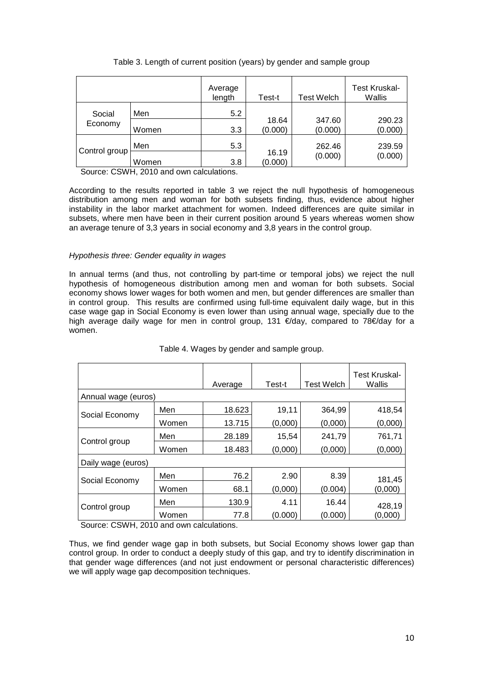|               |       | Average<br>length | Test-t           | Test Welch        | <b>Test Kruskal-</b><br>Wallis |
|---------------|-------|-------------------|------------------|-------------------|--------------------------------|
| Social        | Men   | 5.2               |                  |                   |                                |
| Economy       | Women | 3.3               | 18.64<br>(0.000) | 347.60<br>(0.000) | 290.23<br>(0.000)              |
|               | Men   | 5.3               |                  | 262.46            | 239.59                         |
| Control group | Women | 3.8               | 16.19<br>(0.000) | (0.000)           | (0.000)                        |

Table 3. Length of current position (years) by gender and sample group

Source: CSWH, 2010 and own calculations.

According to the results reported in table 3 we reject the null hypothesis of homogeneous distribution among men and woman for both subsets finding, thus, evidence about higher instability in the labor market attachment for women. Indeed differences are quite similar in subsets, where men have been in their current position around 5 years whereas women show an average tenure of 3,3 years in social economy and 3,8 years in the control group.

### Hypothesis three: Gender equality in wages

In annual terms (and thus, not controlling by part-time or temporal jobs) we reject the null hypothesis of homogeneous distribution among men and woman for both subsets. Social economy shows lower wages for both women and men, but gender differences are smaller than in control group. This results are confirmed using full-time equivalent daily wage, but in this case wage gap in Social Economy is even lower than using annual wage, specially due to the high average daily wage for men in control group, 131 €/day, compared to 78€/day for a women.

|                     |       | Average     | Test-t  | <b>Test Welch</b> | <b>Test Kruskal-</b><br>Wallis |
|---------------------|-------|-------------|---------|-------------------|--------------------------------|
| Annual wage (euros) |       |             |         |                   |                                |
| Social Economy      | Men   | 18.623      | 19,11   | 364,99            | 418,54                         |
|                     | Women | 13.715      | (0,000) | (0,000)           | (0,000)                        |
| Control group       | Men   | 28.189      | 15,54   | 241,79            | 761,71                         |
|                     | Women | 18.483      | (0,000) | (0,000)           | (0,000)                        |
| Daily wage (euros)  |       |             |         |                   |                                |
| Social Economy      | Men   | 76.2        | 2.90    | 8.39              | 181,45                         |
|                     | Women | 68.1        | (0,000) | (0.004)           | (0,000)                        |
| Control group       | Men   | 130.9       | 4.11    | 16.44             | 428,19                         |
| ----------          | Women | 77.8<br>. . | (0.000) | (0.000)           | (0,000)                        |

## Table 4. Wages by gender and sample group.

Source: CSWH, 2010 and own calculations.

Thus, we find gender wage gap in both subsets, but Social Economy shows lower gap than control group. In order to conduct a deeply study of this gap, and try to identify discrimination in that gender wage differences (and not just endowment or personal characteristic differences) we will apply wage gap decomposition techniques.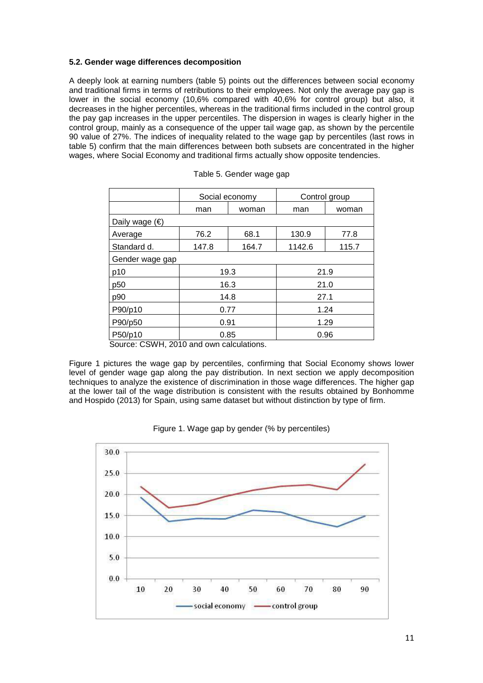## **5.2. Gender wage differences decomposition**

A deeply look at earning numbers (table 5) points out the differences between social economy and traditional firms in terms of retributions to their employees. Not only the average pay gap is lower in the social economy (10,6% compared with 40,6% for control group) but also, it decreases in the higher percentiles, whereas in the traditional firms included in the control group the pay gap increases in the upper percentiles. The dispersion in wages is clearly higher in the control group, mainly as a consequence of the upper tail wage gap, as shown by the percentile 90 value of 27%. The indices of inequality related to the wage gap by percentiles (last rows in table 5) confirm that the main differences between both subsets are concentrated in the higher wages, where Social Economy and traditional firms actually show opposite tendencies.

|                         | Social economy |       | Control group |       |  |  |
|-------------------------|----------------|-------|---------------|-------|--|--|
|                         | man            | woman | man           | woman |  |  |
| Daily wage $(\epsilon)$ |                |       |               |       |  |  |
| Average                 | 76.2           | 68.1  | 130.9         | 77.8  |  |  |
| Standard d.             | 147.8          | 164.7 | 1142.6        | 115.7 |  |  |
| Gender wage gap         |                |       |               |       |  |  |
| p10                     | 19.3           |       | 21.9          |       |  |  |
| p <sub>50</sub>         | 16.3           |       | 21.0          |       |  |  |
| p90                     | 14.8           |       | 27.1          |       |  |  |
| P90/p10                 | 0.77           |       | 1.24          |       |  |  |
| P90/p50                 | 0.91           |       | 1.29          |       |  |  |
| P50/p10                 | 0.85           |       | 0.96          |       |  |  |

Source: CSWH, 2010 and own calculations.

Figure 1 pictures the wage gap by percentiles, confirming that Social Economy shows lower level of gender wage gap along the pay distribution. In next section we apply decomposition techniques to analyze the existence of discrimination in those wage differences. The higher gap at the lower tail of the wage distribution is consistent with the results obtained by Bonhomme and Hospido (2013) for Spain, using same dataset but without distinction by type of firm.



Figure 1. Wage gap by gender (% by percentiles)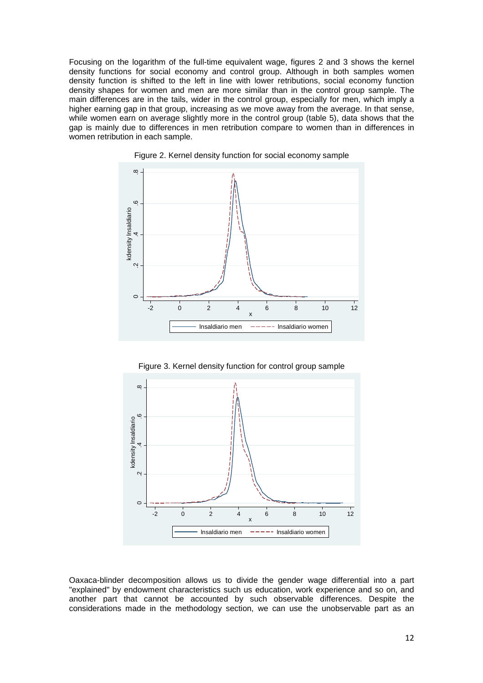Focusing on the logarithm of the full-time equivalent wage, figures 2 and 3 shows the kernel density functions for social economy and control group. Although in both samples women density function is shifted to the left in line with lower retributions, social economy function density shapes for women and men are more similar than in the control group sample. The main differences are in the tails, wider in the control group, especially for men, which imply a higher earning gap in that group, increasing as we move away from the average. In that sense, while women earn on average slightly more in the control group (table 5), data shows that the gap is mainly due to differences in men retribution compare to women than in differences in women retribution in each sample.





Figure 3. Kernel density function for control group sample



Oaxaca-blinder decomposition allows us to divide the gender wage differential into a part "explained" by endowment characteristics such us education, work experience and so on, and another part that cannot be accounted by such observable differences. Despite the considerations made in the methodology section, we can use the unobservable part as an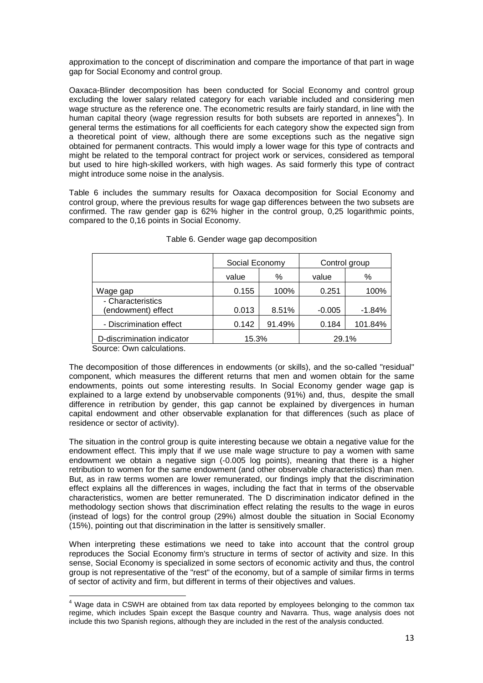approximation to the concept of discrimination and compare the importance of that part in wage gap for Social Economy and control group.

Oaxaca-Blinder decomposition has been conducted for Social Economy and control group excluding the lower salary related category for each variable included and considering men wage structure as the reference one. The econometric results are fairly standard, in line with the human capital theory (wage regression results for both subsets are reported in annexes<sup>4</sup>). In general terms the estimations for all coefficients for each category show the expected sign from a theoretical point of view, although there are some exceptions such as the negative sign obtained for permanent contracts. This would imply a lower wage for this type of contracts and might be related to the temporal contract for project work or services, considered as temporal but used to hire high-skilled workers, with high wages. As said formerly this type of contract might introduce some noise in the analysis.

Table 6 includes the summary results for Oaxaca decomposition for Social Economy and control group, where the previous results for wage gap differences between the two subsets are confirmed. The raw gender gap is 62% higher in the control group, 0,25 logarithmic points, compared to the 0,16 points in Social Economy.

|                                         | Social Economy |        | Control group |          |
|-----------------------------------------|----------------|--------|---------------|----------|
|                                         | value          | %      | value         | %        |
| Wage gap                                | 0.155          | 100%   | 0.251         | 100%     |
| - Characteristics<br>(endowment) effect | 0.013          | 8.51%  | $-0.005$      | $-1.84%$ |
| - Discrimination effect                 | 0.142          | 91.49% | 0.184         | 101.84%  |
| D-discrimination indicator              | 15.3%          |        | 29.1%         |          |

#### Table 6. Gender wage gap decomposition

Source: Own calculations.

l

The decomposition of those differences in endowments (or skills), and the so-called "residual" component, which measures the different returns that men and women obtain for the same endowments, points out some interesting results. In Social Economy gender wage gap is explained to a large extend by unobservable components (91%) and, thus, despite the small difference in retribution by gender, this gap cannot be explained by divergences in human capital endowment and other observable explanation for that differences (such as place of residence or sector of activity).

The situation in the control group is quite interesting because we obtain a negative value for the endowment effect. This imply that if we use male wage structure to pay a women with same endowment we obtain a negative sign (-0.005 log points), meaning that there is a higher retribution to women for the same endowment (and other observable characteristics) than men. But, as in raw terms women are lower remunerated, our findings imply that the discrimination effect explains all the differences in wages, including the fact that in terms of the observable characteristics, women are better remunerated. The D discrimination indicator defined in the methodology section shows that discrimination effect relating the results to the wage in euros (instead of logs) for the control group (29%) almost double the situation in Social Economy (15%), pointing out that discrimination in the latter is sensitively smaller.

When interpreting these estimations we need to take into account that the control group reproduces the Social Economy firm's structure in terms of sector of activity and size. In this sense, Social Economy is specialized in some sectors of economic activity and thus, the control group is not representative of the "rest" of the economy, but of a sample of similar firms in terms of sector of activity and firm, but different in terms of their objectives and values.

<sup>&</sup>lt;sup>4</sup> Wage data in CSWH are obtained from tax data reported by employees belonging to the common tax regime, which includes Spain except the Basque country and Navarra. Thus, wage analysis does not include this two Spanish regions, although they are included in the rest of the analysis conducted.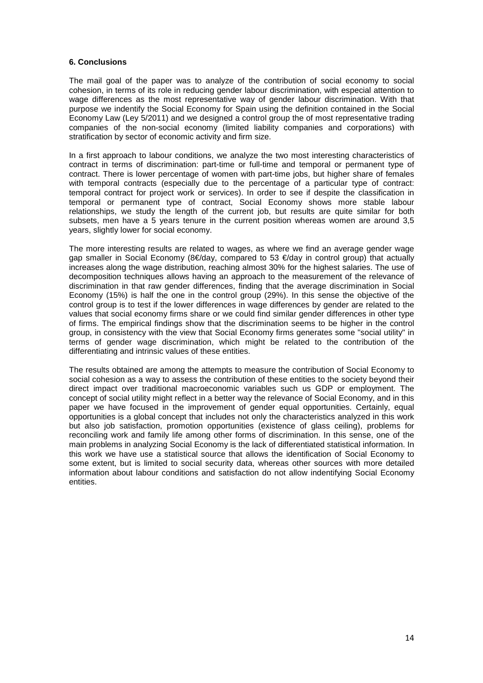#### **6. Conclusions**

The mail goal of the paper was to analyze of the contribution of social economy to social cohesion, in terms of its role in reducing gender labour discrimination, with especial attention to wage differences as the most representative way of gender labour discrimination. With that purpose we indentify the Social Economy for Spain using the definition contained in the Social Economy Law (Ley 5/2011) and we designed a control group the of most representative trading companies of the non-social economy (limited liability companies and corporations) with stratification by sector of economic activity and firm size.

In a first approach to labour conditions, we analyze the two most interesting characteristics of contract in terms of discrimination: part-time or full-time and temporal or permanent type of contract. There is lower percentage of women with part-time jobs, but higher share of females with temporal contracts (especially due to the percentage of a particular type of contract: temporal contract for project work or services). In order to see if despite the classification in temporal or permanent type of contract, Social Economy shows more stable labour relationships, we study the length of the current job, but results are quite similar for both subsets, men have a 5 years tenure in the current position whereas women are around 3,5 years, slightly lower for social economy.

The more interesting results are related to wages, as where we find an average gender wage gap smaller in Social Economy (8€/day, compared to 53 €/day in control group) that actually increases along the wage distribution, reaching almost 30% for the highest salaries. The use of decomposition techniques allows having an approach to the measurement of the relevance of discrimination in that raw gender differences, finding that the average discrimination in Social Economy (15%) is half the one in the control group (29%). In this sense the objective of the control group is to test if the lower differences in wage differences by gender are related to the values that social economy firms share or we could find similar gender differences in other type of firms. The empirical findings show that the discrimination seems to be higher in the control group, in consistency with the view that Social Economy firms generates some "social utility" in terms of gender wage discrimination, which might be related to the contribution of the differentiating and intrinsic values of these entities.

The results obtained are among the attempts to measure the contribution of Social Economy to social cohesion as a way to assess the contribution of these entities to the society beyond their direct impact over traditional macroeconomic variables such us GDP or employment. The concept of social utility might reflect in a better way the relevance of Social Economy, and in this paper we have focused in the improvement of gender equal opportunities. Certainly, equal opportunities is a global concept that includes not only the characteristics analyzed in this work but also job satisfaction, promotion opportunities (existence of glass ceiling), problems for reconciling work and family life among other forms of discrimination. In this sense, one of the main problems in analyzing Social Economy is the lack of differentiated statistical information. In this work we have use a statistical source that allows the identification of Social Economy to some extent, but is limited to social security data, whereas other sources with more detailed information about labour conditions and satisfaction do not allow indentifying Social Economy entities.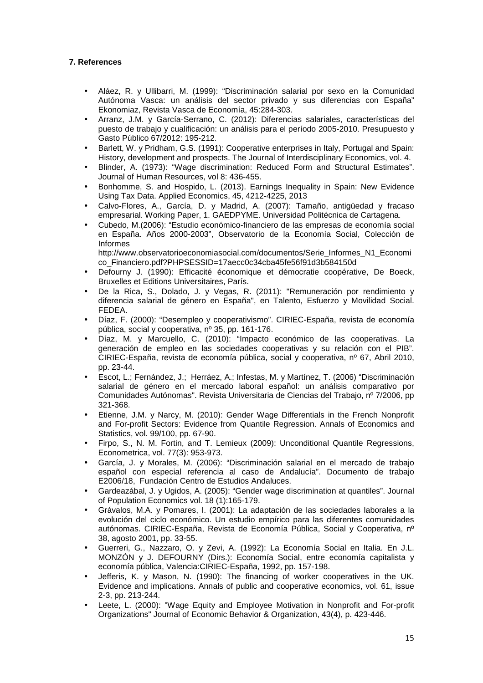## **7. References**

- Aláez, R. y Ullibarri, M. (1999): "Discriminación salarial por sexo en la Comunidad Autónoma Vasca: un análisis del sector privado y sus diferencias con España" Ekonomiaz, Revista Vasca de Economía, 45:284-303.
- Arranz, J.M. y García-Serrano, C. (2012): Diferencias salariales, características del puesto de trabajo y cualificación: un análisis para el período 2005-2010. Presupuesto y Gasto Público 67/2012: 195-212.
- Barlett, W. y Pridham, G.S. (1991): Cooperative enterprises in Italy, Portugal and Spain: History, development and prospects. The Journal of Interdisciplinary Economics, vol. 4.
- Blinder, A. (1973): "Wage discrimination: Reduced Form and Structural Estimates". Journal of Human Resources, vol 8: 436-455.
- Bonhomme, S. and Hospido, L. (2013). Earnings Inequality in Spain: New Evidence Using Tax Data. Applied Economics, 45, 4212-4225, 2013
- Calvo-Flores, A., García, D. y Madrid, A. (2007): Tamaño, antigüedad y fracaso empresarial. Working Paper, 1. GAEDPYME. Universidad Politécnica de Cartagena.
- Cubedo, M.(2006): "Estudio económico-financiero de las empresas de economía social en España. Años 2000-2003", Observatorio de la Economía Social, Colección de Informes

http://www.observatorioeconomiasocial.com/documentos/Serie\_Informes\_N1\_Economi co\_Financiero.pdf?PHPSESSID=17aecc0c34cba45fe56f91d3b584150d

- Defourny J. (1990): Efficacité économique et démocratie coopérative, De Boeck, Bruxelles et Editions Universitaires, París.
- De la Rica, S., Dolado, J. y Vegas, R. (2011): "Remuneración por rendimiento y diferencia salarial de género en España", en Talento, Esfuerzo y Movilidad Social. FEDEA.
- Díaz, F. (2000): "Desempleo y cooperativismo". CIRIEC-España, revista de economía pública, social y cooperativa, nº 35, pp. 161-176.
- Díaz, M. y Marcuello, C. (2010): "Impacto económico de las cooperativas. La generación de empleo en las sociedades cooperativas y su relación con el PIB". CIRIEC-España, revista de economía pública, social y cooperativa, nº 67, Abril 2010, pp. 23-44.
- Escot, L.; Fernández, J.; Herráez, A.; Infestas, M. y Martínez, T. (2006) "Discriminación salarial de género en el mercado laboral español: un análisis comparativo por Comunidades Autónomas". Revista Universitaria de Ciencias del Trabajo, nº 7/2006, pp 321-368.
- Etienne, J.M. y Narcy, M. (2010): Gender Wage Differentials in the French Nonprofit and For-profit Sectors: Evidence from Quantile Regression. Annals of Economics and Statistics, vol. 99/100, pp. 67-90.
- Firpo, S., N. M. Fortin, and T. Lemieux (2009): Unconditional Quantile Regressions, Econometrica, vol. 77(3): 953-973.
- García, J. y Morales, M. (2006): "Discriminación salarial en el mercado de trabajo español con especial referencia al caso de Andalucía". Documento de trabajo E2006/18, Fundación Centro de Estudios Andaluces.
- Gardeazábal, J. y Ugidos, A. (2005): "Gender wage discrimination at quantiles". Journal of Population Economics vol. 18 (1):165-179.
- Grávalos, M.A. y Pomares, I. (2001): La adaptación de las sociedades laborales a la evolución del ciclo económico. Un estudio empírico para las diferentes comunidades autónomas. CIRIEC-España, Revista de Economía Pública, Social y Cooperativa, nº 38, agosto 2001, pp. 33-55.
- Guerreri, G., Nazzaro, O. y Zevi, A. (1992): La Economía Social en Italia. En J.L. MONZÓN y J. DEFOURNY (Dirs.): Economía Social, entre economía capitalista y economía pública, Valencia:CIRIEC-España, 1992, pp. 157-198.
- Jefferis, K. y Mason, N. (1990): The financing of worker cooperatives in the UK. Evidence and implications. Annals of public and cooperative economics, vol. 61, issue 2-3, pp. 213-244.
- Leete, L. (2000): "Wage Equity and Employee Motivation in Nonprofit and For-profit Organizations" Journal of Economic Behavior & Organization, 43(4), p. 423-446.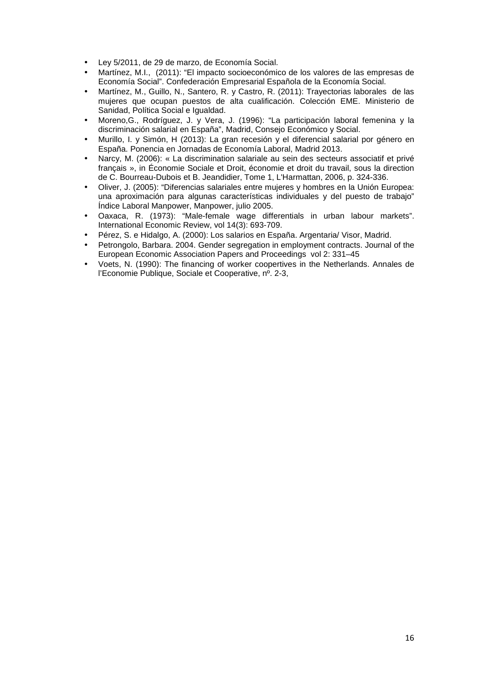- Ley 5/2011, de 29 de marzo, de Economía Social.
- Martínez, M.I., (2011): "El impacto socioeconómico de los valores de las empresas de Economía Social". Confederación Empresarial Española de la Economía Social.
- Martínez, M., Guillo, N., Santero, R. y Castro, R. (2011): Trayectorias laborales de las mujeres que ocupan puestos de alta cualificación. Colección EME. Ministerio de Sanidad, Política Social e Igualdad.
- Moreno,G., Rodríguez, J. y Vera, J. (1996): "La participación laboral femenina y la discriminación salarial en España", Madrid, Consejo Económico y Social.
- Murillo, I. y Simón, H (2013): La gran recesión y el diferencial salarial por género en España. Ponencia en Jornadas de Economía Laboral, Madrid 2013.
- Narcy, M. (2006): « La discrimination salariale au sein des secteurs associatif et privé français », in Économie Sociale et Droit, économie et droit du travail, sous la direction de C. Bourreau-Dubois et B. Jeandidier, Tome 1, L'Harmattan, 2006, p. 324-336.
- Oliver, J. (2005): "Diferencias salariales entre mujeres y hombres en la Unión Europea: una aproximación para algunas características individuales y del puesto de trabajo" Índice Laboral Manpower, Manpower, julio 2005.
- Oaxaca, R. (1973): "Male-female wage differentials in urban labour markets". International Economic Review, vol 14(3): 693-709.
- Pérez, S. e Hidalgo, A. (2000): Los salarios en España. Argentaria/ Visor, Madrid.
- Petrongolo, Barbara. 2004. Gender segregation in employment contracts. Journal of the European Economic Association Papers and Proceedings vol 2: 331–45
- Voets, N. (1990): The financing of worker coopertives in the Netherlands. Annales de l'Economie Publique, Sociale et Cooperative, nº. 2-3,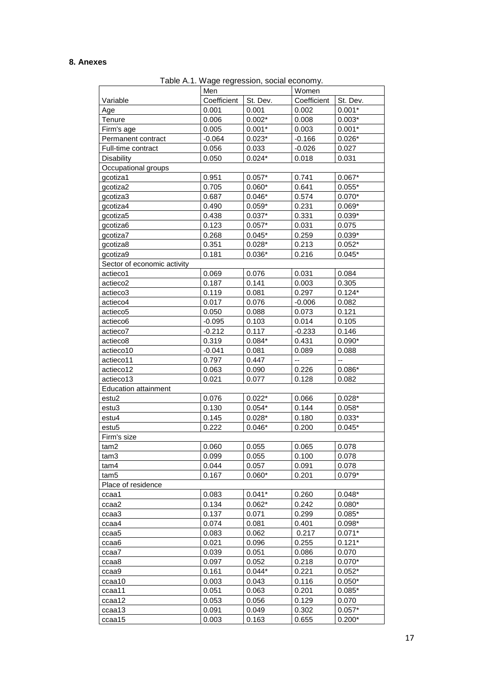## **8. Anexes**

Table A.1. Wage regression, social economy.

|                             | Men            |          | Women       |                   |
|-----------------------------|----------------|----------|-------------|-------------------|
| Variable                    | Coefficient    | St. Dev. | Coefficient | St. Dev.          |
| Age                         | 0.001          | 0.001    | 0.002       | $0.001*$          |
| Tenure                      | 0.006          | $0.002*$ | 0.008       | $0.003*$          |
| Firm's age                  | 0.005          | $0.001*$ | 0.003       | $0.001*$          |
| Permanent contract          | $-0.064$       | $0.023*$ | $-0.166$    | $0.026*$          |
| Full-time contract          | 0.056          | 0.033    | $-0.026$    | 0.027             |
| Disability                  | 0.050          | $0.024*$ | 0.018       | 0.031             |
| Occupational groups         |                |          |             |                   |
| gcotiza1                    | 0.951          | $0.057*$ | 0.741       | $0.067*$          |
| gcotiza2                    | 0.705          | $0.060*$ | 0.641       | $0.055*$          |
| gcotiza3                    | 0.687          | $0.046*$ | 0.574       | $0.070*$          |
| gcotiza4                    | 0.490          | $0.059*$ | 0.231       | $0.069*$          |
| gcotiza5                    | 0.438          | $0.037*$ | 0.331       | $0.039*$          |
| gcotiza6                    | 0.123          | $0.057*$ | 0.031       | 0.075             |
| gcotiza7                    | 0.268          | $0.045*$ | 0.259       | $0.039*$          |
| gcotiza8                    | 0.351          | $0.028*$ | 0.213       | $0.052*$          |
| qcotiza9                    | 0.181          | $0.036*$ | 0.216       | $0.045*$          |
| Sector of economic activity |                |          |             |                   |
| actieco1                    | 0.069          | 0.076    | 0.031       | 0.084             |
| actieco <sub>2</sub>        | 0.187          | 0.141    | 0.003       | 0.305             |
| actieco3                    | 0.119          | 0.081    | 0.297       | $0.124*$          |
| actieco4                    | 0.017          | 0.076    | $-0.006$    | 0.082             |
| actieco5                    | 0.050          | 0.088    | 0.073       | 0.121             |
| actieco6                    | $-0.095$       | 0.103    | 0.014       | 0.105             |
| actieco7                    | $-0.212$       | 0.117    | $-0.233$    | 0.146             |
| actieco8                    | 0.319          | $0.084*$ | 0.431       | $0.090*$          |
| actieco10                   | $-0.041$       | 0.081    | 0.089       | 0.088             |
| actieco11                   | 0.797          | 0.447    | --          | --                |
| actieco12                   | 0.063          | 0.090    | 0.226       | $0.086*$          |
| actieco13                   | 0.021          | 0.077    | 0.128       | 0.082             |
| <b>Education attainment</b> |                |          |             |                   |
| estu2                       | 0.076          | $0.022*$ | 0.066       | $0.028*$          |
| estu3                       | 0.130          | $0.054*$ | 0.144       | $0.058*$          |
| estu4                       | 0.145          | $0.028*$ | 0.180       | $0.033*$          |
| estu <sub>5</sub>           | 0.222          | $0.046*$ | 0.200       | $0.045*$          |
| Firm's size                 |                |          |             |                   |
| tam2                        | 0.060          | 0.055    | 0.065       | 0.078             |
| tam3                        | 0.099          | 0.055    | 0.100       | 0.078             |
| tam4                        | 0.044          | 0.057    | 0.091       | 0.078             |
| tam <sub>5</sub>            | 0.167          | $0.060*$ | 0.201       | $0.079*$          |
| Place of residence          |                |          |             |                   |
| ccaa1                       | 0.083          | $0.041*$ | 0.260       | $0.048*$          |
| ccaa2                       | 0.134          | $0.062*$ | 0.242       | $0.080*$          |
| ccaa3                       | 0.137          | 0.071    | 0.299       | $0.085*$          |
| ccaa4                       | 0.074          | 0.081    | 0.401       | $0.098*$          |
| ccaa5                       | 0.083          | 0.062    | 0.217       | $0.071*$          |
| ccaa6                       | 0.021          | 0.096    | 0.255       | $0.121*$          |
| ccaa7                       | 0.039          | 0.051    | 0.086       | 0.070             |
| ccaa8                       | 0.097          | 0.052    | 0.218       | $0.070*$          |
|                             | 0.161          | $0.044*$ | 0.221       | $0.052*$          |
| ccaa9                       | 0.003          | 0.043    | 0.116       | $0.050*$          |
| ccaa10                      | 0.051          |          |             | $0.085*$          |
| ccaa11                      |                | 0.063    | 0.201       |                   |
| ccaa12                      | 0.053<br>0.091 | 0.056    | 0.129       | 0.070<br>$0.057*$ |
| ccaa13                      |                | 0.049    | 0.302       |                   |
| ccaa15                      | 0.003          | 0.163    | 0.655       | $0.200*$          |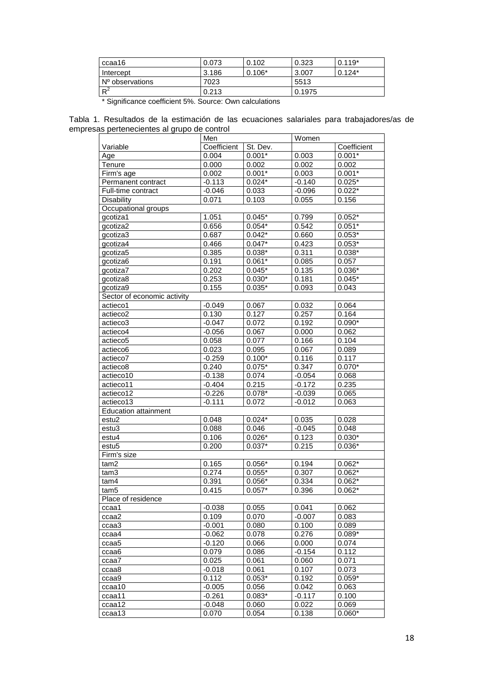| ccaa16            | 0.073 | 0.102    | 0.323  | $0.119*$  |
|-------------------|-------|----------|--------|-----------|
| Intercept         | 3.186 | $0.106*$ | 3.007  | $10.124*$ |
| I Nº observations | 7023  |          | 5513   |           |
| $R^2$             | 0.213 |          | 0.1975 |           |

\* Significance coefficient 5%. Source: Own calculations

Tabla 1. Resultados de la estimación de las ecuaciones salariales para trabajadores/as de empresas pertenecientes al grupo de control

|                             | Men         |          | Women    |             |
|-----------------------------|-------------|----------|----------|-------------|
| Variable                    | Coefficient | St. Dev. |          | Coefficient |
| Age                         | 0.004       | $0.001*$ | 0.003    | $0.001*$    |
| Tenure                      | 0.000       | 0.002    | 0.002    | 0.002       |
| Firm's age                  | 0.002       | $0.001*$ | 0.003    | $0.001*$    |
| Permanent contract          | $-0.113$    | $0.024*$ | $-0.140$ | $0.025*$    |
| Full-time contract          | $-0.046$    | 0.033    | $-0.096$ | $0.022*$    |
| <b>Disability</b>           | 0.071       | 0.103    | 0.055    | 0.156       |
| Occupational groups         |             |          |          |             |
| gcotiza1                    | 1.051       | $0.045*$ | 0.799    | $0.052*$    |
| qcotiza2                    | 0.656       | $0.054*$ | 0.542    | $0.051*$    |
| gcotiza3                    | 0.687       | $0.042*$ | 0.660    | $0.053*$    |
| gcotiza4                    | 0.466       | $0.047*$ | 0.423    | $0.053*$    |
| gcotiza5                    | 0.385       | $0.038*$ | 0.311    | $0.038*$    |
| gcotiza6                    | 0.191       | $0.061*$ | 0.085    | 0.057       |
| gcotiza7                    | 0.202       | $0.045*$ | 0.135    | $0.036*$    |
| gcotiza8                    | 0.253       | $0.030*$ | 0.181    | $0.045*$    |
| gcotiza9                    | 0.155       | $0.035*$ | 0.093    | 0.043       |
| Sector of economic activity |             |          |          |             |
| actieco1                    | $-0.049$    | 0.067    | 0.032    | 0.064       |
| actieco <sub>2</sub>        | 0.130       | 0.127    | 0.257    | 0.164       |
| actieco3                    | $-0.047$    | 0.072    | 0.192    | $0.090*$    |
| actieco4                    | $-0.056$    | 0.067    | 0.000    | 0.062       |
| actieco5                    | 0.058       | 0.077    | 0.166    | 0.104       |
| actieco6                    | 0.023       | 0.095    | 0.067    | 0.089       |
| actieco7                    | $-0.259$    | $0.100*$ | 0.116    | 0.117       |
| actieco8                    | 0.240       | $0.075*$ | 0.347    | $0.070*$    |
| actieco10                   | $-0.138$    | 0.074    | $-0.054$ | 0.068       |
| actieco11                   | $-0.404$    | 0.215    | $-0.172$ | 0.235       |
| actieco12                   | $-0.226$    | $0.078*$ | $-0.039$ | 0.065       |
| actieco13                   | $-0.111$    | 0.072    | $-0.012$ | 0.063       |
| <b>Education attainment</b> |             |          |          |             |
| estu <sub>2</sub>           | 0.048       | $0.024*$ | 0.035    | 0.028       |
| estu <sub>3</sub>           | 0.088       | 0.046    | $-0.045$ | 0.048       |
| estu4                       | 0.106       | $0.026*$ | 0.123    | $0.030*$    |
| estu <sub>5</sub>           | 0.200       | $0.037*$ | 0.215    | $0.036*$    |
| Firm's size                 |             |          |          |             |
| tam2                        | 0.165       | $0.056*$ | 0.194    | $0.062*$    |
| tam3                        | 0.274       | $0.055*$ | 0.307    | $0.062*$    |
| tam4                        | 0.391       | $0.056*$ | 0.334    | $0.062*$    |
| tam <sub>5</sub>            | 0.415       | $0.057*$ | 0.396    | $0.062*$    |
| Place of residence          |             |          |          |             |
| ccaa1                       | $-0.038$    | 0.055    | 0.041    | 0.062       |
| ccaa2                       | 0.109       | 0.070    | $-0.007$ | 0.083       |
| ccaa3                       | $-0.001$    | 0.080    | 0.100    | 0.089       |
| ccaa4                       | $-0.062$    | 0.078    | 0.276    | $0.089*$    |
| ccaa5                       | $-0.120$    | 0.066    | 0.000    | 0.074       |
| ccaa6                       | 0.079       | 0.086    | $-0.154$ | 0.112       |
| ccaa7                       | 0.025       | 0.061    | 0.060    | 0.071       |
| ccaa8                       | $-0.018$    | 0.061    | 0.107    | 0.073       |
| ccaa9                       | 0.112       | $0.053*$ | 0.192    | $0.059*$    |
| ccaa10                      | $-0.005$    | 0.056    | 0.042    | 0.063       |
| ccaa11                      | $-0.261$    | $0.083*$ | $-0.117$ | 0.100       |
| ccaa12                      | $-0.048$    | 0.060    | 0.022    | 0.069       |
| ccaa13                      | 0.070       | 0.054    | 0.138    | $0.060*$    |